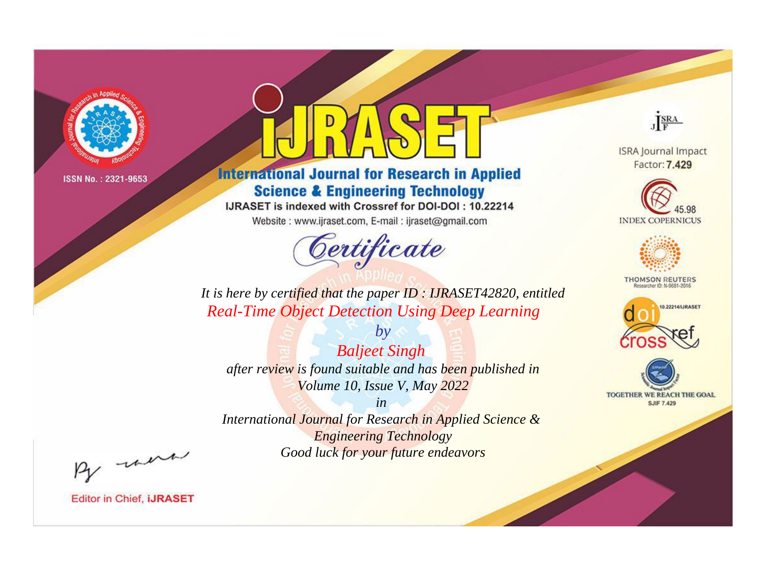

# **International Journal for Research in Applied Science & Engineering Technology**

IJRASET is indexed with Crossref for DOI-DOI: 10.22214

Website: www.ijraset.com, E-mail: ijraset@gmail.com



JERA

**ISRA Journal Impact** Factor: 7.429





**THOMSON REUTERS** 



TOGETHER WE REACH THE GOAL **SJIF 7.429** 

*It is here by certified that the paper ID : IJRASET42820, entitled Real-Time Object Detection Using Deep Learning*

*by Baljeet Singh after review is found suitable and has been published in Volume 10, Issue V, May 2022*

*in* 

*International Journal for Research in Applied Science & Engineering Technology Good luck for your future endeavors*

By morn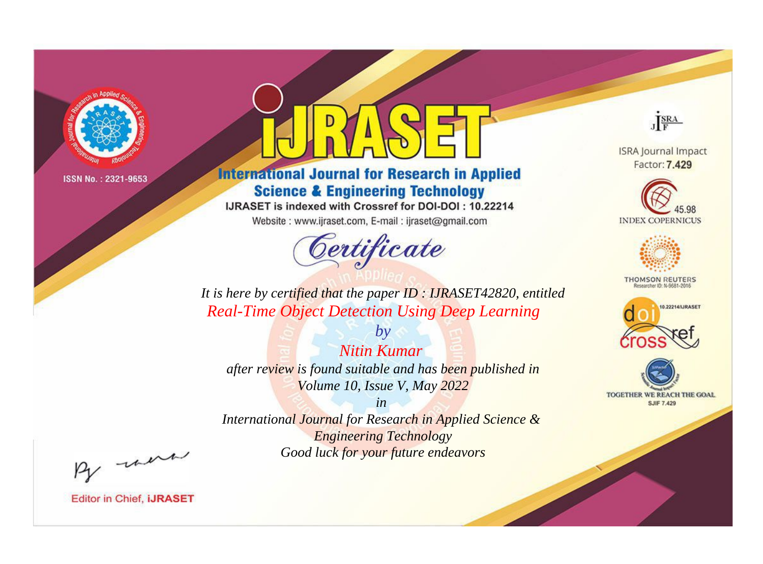

# **International Journal for Research in Applied Science & Engineering Technology**

IJRASET is indexed with Crossref for DOI-DOI: 10.22214

Website: www.ijraset.com, E-mail: ijraset@gmail.com



JERA

**ISRA Journal Impact** Factor: 7.429





**THOMSON REUTERS** 



TOGETHER WE REACH THE GOAL **SJIF 7.429** 

*It is here by certified that the paper ID : IJRASET42820, entitled Real-Time Object Detection Using Deep Learning*

*Nitin Kumar after review is found suitable and has been published in Volume 10, Issue V, May 2022*

*by*

*in* 

*International Journal for Research in Applied Science & Engineering Technology Good luck for your future endeavors*

By morn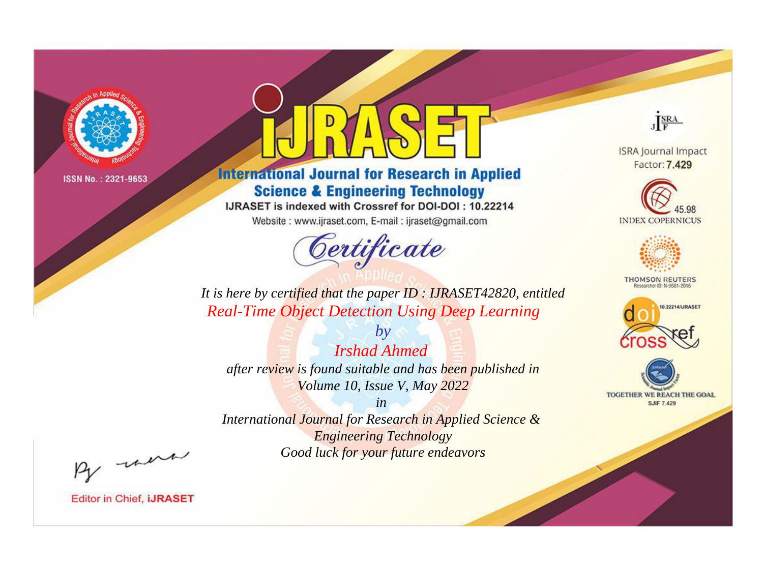

# **International Journal for Research in Applied Science & Engineering Technology**

IJRASET is indexed with Crossref for DOI-DOI: 10.22214

Website: www.ijraset.com, E-mail: ijraset@gmail.com



JERA

**ISRA Journal Impact** Factor: 7.429





**THOMSON REUTERS** 



TOGETHER WE REACH THE GOAL **SJIF 7.429** 

*It is here by certified that the paper ID : IJRASET42820, entitled Real-Time Object Detection Using Deep Learning*

*by Irshad Ahmed after review is found suitable and has been published in Volume 10, Issue V, May 2022*

*in* 

*International Journal for Research in Applied Science & Engineering Technology Good luck for your future endeavors*

By morn